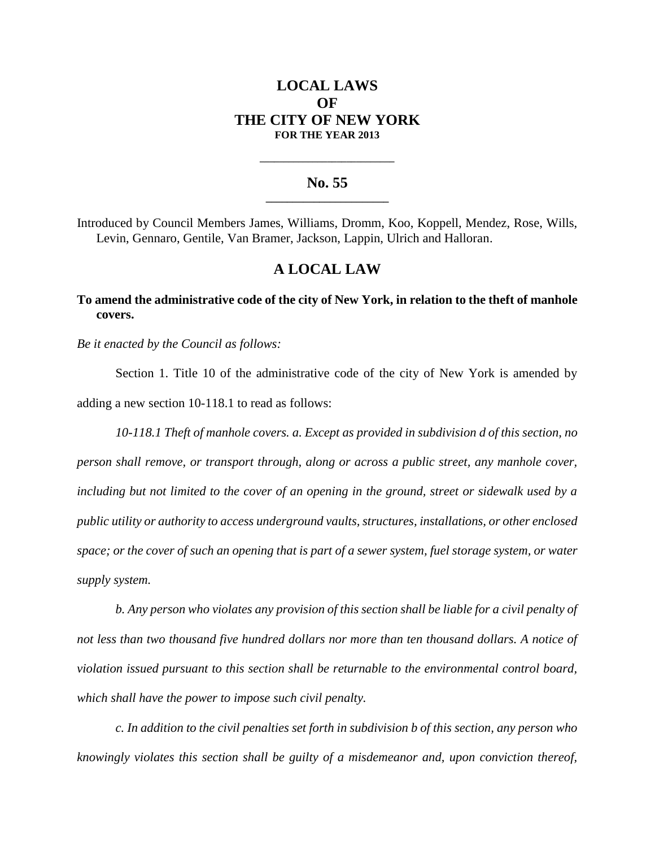# **LOCAL LAWS OF THE CITY OF NEW YORK FOR THE YEAR 2013**

#### **No. 55 \_\_\_\_\_\_\_\_\_\_\_\_\_\_\_\_\_\_\_\_\_\_\_**

**\_\_\_\_\_\_\_\_\_\_\_\_\_\_\_\_\_\_\_\_\_\_\_\_\_\_\_\_**

Introduced by Council Members James, Williams, Dromm, Koo, Koppell, Mendez, Rose, Wills, Levin, Gennaro, Gentile, Van Bramer, Jackson, Lappin, Ulrich and Halloran.

## **A LOCAL LAW**

### **To amend the administrative code of the city of New York, in relation to the theft of manhole covers.**

*Be it enacted by the Council as follows:*

Section 1. Title 10 of the administrative code of the city of New York is amended by adding a new section 10-118.1 to read as follows:

*10-118.1 Theft of manhole covers. a. Except as provided in subdivision d of this section, no person shall remove, or transport through, along or across a public street, any manhole cover, including but not limited to the cover of an opening in the ground, street or sidewalk used by a public utility or authority to access underground vaults, structures, installations, or other enclosed space; or the cover of such an opening that is part of a sewer system, fuel storage system, or water supply system.*

*b. Any person who violates any provision of this section shall be liable for a civil penalty of not less than two thousand five hundred dollars nor more than ten thousand dollars. A notice of violation issued pursuant to this section shall be returnable to the environmental control board, which shall have the power to impose such civil penalty.* 

*c. In addition to the civil penalties set forth in subdivision b of this section, any person who knowingly violates this section shall be guilty of a misdemeanor and, upon conviction thereof,*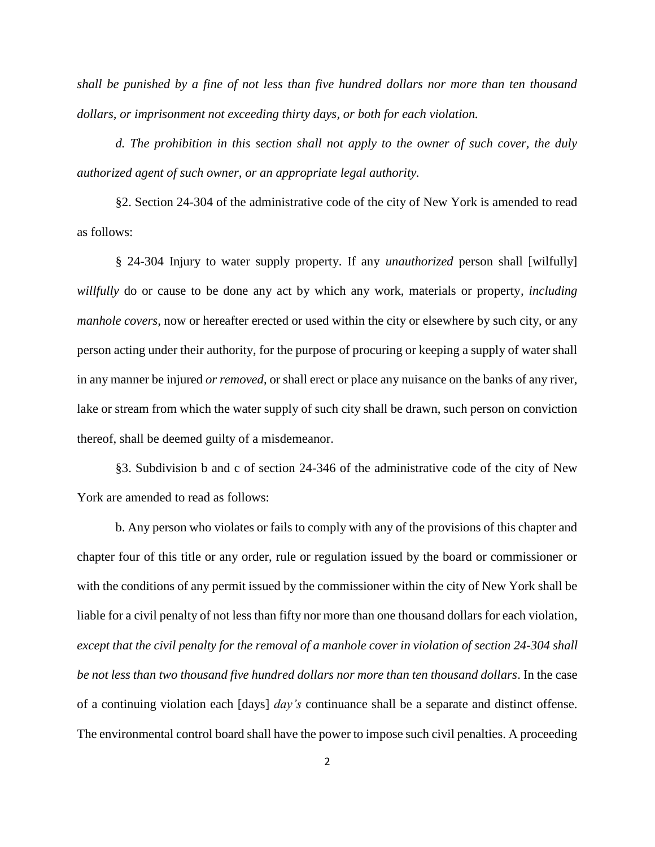*shall be punished by a fine of not less than five hundred dollars nor more than ten thousand dollars, or imprisonment not exceeding thirty days, or both for each violation.*

*d. The prohibition in this section shall not apply to the owner of such cover, the duly authorized agent of such owner, or an appropriate legal authority.*

§2. Section 24-304 of the administrative code of the city of New York is amended to read as follows:

§ 24-304 Injury to water supply property. If any *unauthorized* person shall [wilfully] *willfully* do or cause to be done any act by which any work, materials or property*, including manhole covers,* now or hereafter erected or used within the city or elsewhere by such city, or any person acting under their authority, for the purpose of procuring or keeping a supply of water shall in any manner be injured *or removed*, or shall erect or place any nuisance on the banks of any river, lake or stream from which the water supply of such city shall be drawn, such person on conviction thereof, shall be deemed guilty of a misdemeanor.

§3. Subdivision b and c of section 24-346 of the administrative code of the city of New York are amended to read as follows:

b. Any person who violates or fails to comply with any of the provisions of this chapter and chapter four of this title or any order, rule or regulation issued by the board or commissioner or with the conditions of any permit issued by the commissioner within the city of New York shall be liable for a civil penalty of not less than fifty nor more than one thousand dollars for each violation*, except that the civil penalty for the removal of a manhole cover in violation of section 24-304 shall be not less than two thousand five hundred dollars nor more than ten thousand dollars*. In the case of a continuing violation each [days] *day's* continuance shall be a separate and distinct offense. The environmental control board shall have the power to impose such civil penalties. A proceeding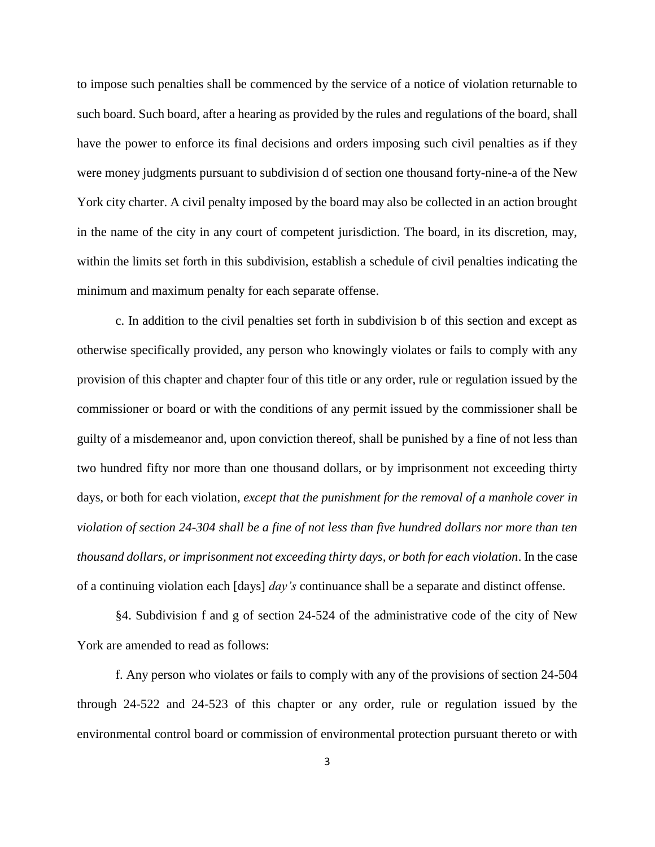to impose such penalties shall be commenced by the service of a notice of violation returnable to such board. Such board, after a hearing as provided by the rules and regulations of the board, shall have the power to enforce its final decisions and orders imposing such civil penalties as if they were money judgments pursuant to subdivision d of section one thousand forty-nine-a of the New York city charter. A civil penalty imposed by the board may also be collected in an action brought in the name of the city in any court of competent jurisdiction. The board, in its discretion, may, within the limits set forth in this subdivision, establish a schedule of civil penalties indicating the minimum and maximum penalty for each separate offense.

c. In addition to the civil penalties set forth in subdivision b of this section and except as otherwise specifically provided, any person who knowingly violates or fails to comply with any provision of this chapter and chapter four of this title or any order, rule or regulation issued by the commissioner or board or with the conditions of any permit issued by the commissioner shall be guilty of a misdemeanor and, upon conviction thereof, shall be punished by a fine of not less than two hundred fifty nor more than one thousand dollars, or by imprisonment not exceeding thirty days, or both for each violation*, except that the punishment for the removal of a manhole cover in violation of section 24-304 shall be a fine of not less than five hundred dollars nor more than ten thousand dollars, or imprisonment not exceeding thirty days, or both for each violation*. In the case of a continuing violation each [days] *day's* continuance shall be a separate and distinct offense.

§4. Subdivision f and g of section 24-524 of the administrative code of the city of New York are amended to read as follows:

f. Any person who violates or fails to comply with any of the provisions of section 24-504 through 24-522 and 24-523 of this chapter or any order, rule or regulation issued by the environmental control board or commission of environmental protection pursuant thereto or with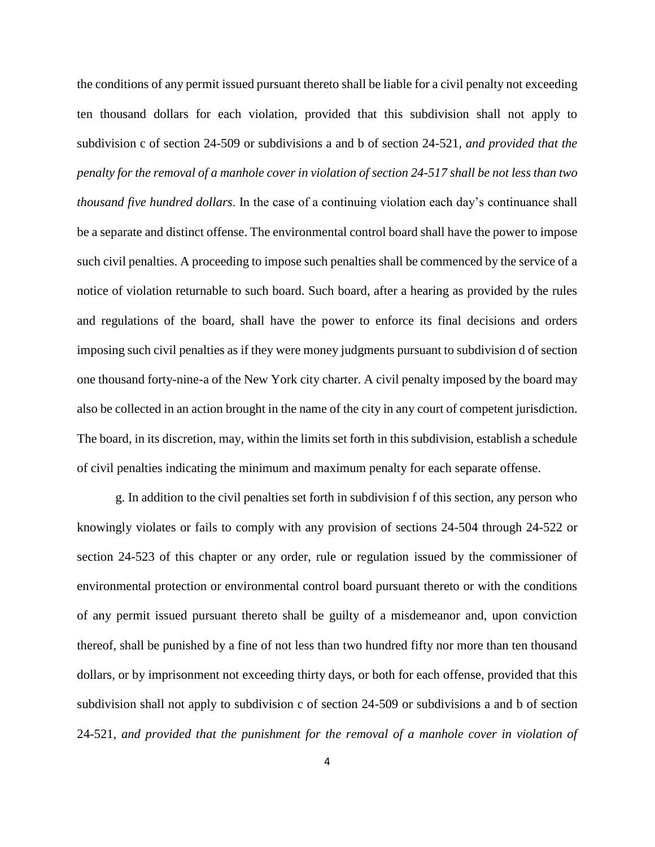the conditions of any permit issued pursuant thereto shall be liable for a civil penalty not exceeding ten thousand dollars for each violation, provided that this subdivision shall not apply to subdivision c of section 24-509 or subdivisions a and b of section 24-521*, and provided that the penalty for the removal of a manhole cover in violation of section 24-517 shall be not less than two thousand five hundred dollars*. In the case of a continuing violation each day's continuance shall be a separate and distinct offense. The environmental control board shall have the power to impose such civil penalties. A proceeding to impose such penalties shall be commenced by the service of a notice of violation returnable to such board. Such board, after a hearing as provided by the rules and regulations of the board, shall have the power to enforce its final decisions and orders imposing such civil penalties as if they were money judgments pursuant to subdivision d of section one thousand forty-nine-a of the New York city charter. A civil penalty imposed by the board may also be collected in an action brought in the name of the city in any court of competent jurisdiction. The board, in its discretion, may, within the limits set forth in this subdivision, establish a schedule of civil penalties indicating the minimum and maximum penalty for each separate offense.

g. In addition to the civil penalties set forth in subdivision f of this section, any person who knowingly violates or fails to comply with any provision of sections 24-504 through 24-522 or section 24-523 of this chapter or any order, rule or regulation issued by the commissioner of environmental protection or environmental control board pursuant thereto or with the conditions of any permit issued pursuant thereto shall be guilty of a misdemeanor and, upon conviction thereof, shall be punished by a fine of not less than two hundred fifty nor more than ten thousand dollars, or by imprisonment not exceeding thirty days, or both for each offense, provided that this subdivision shall not apply to subdivision c of section 24-509 or subdivisions a and b of section 24-521*, and provided that the punishment for the removal of a manhole cover in violation of*